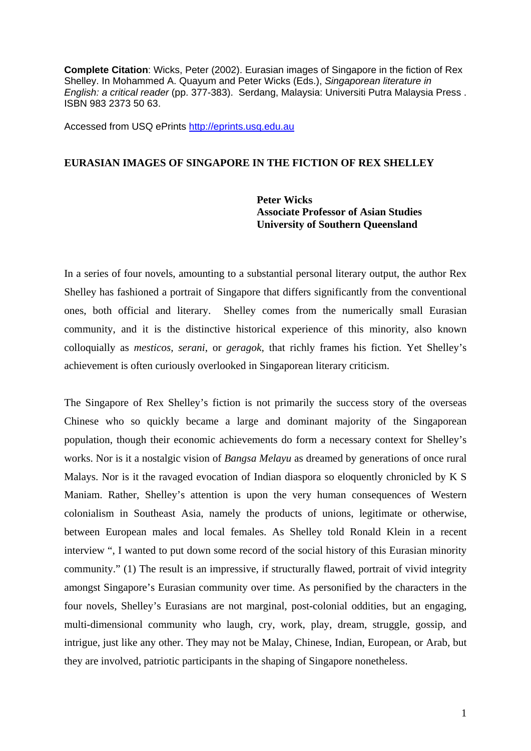**Complete Citation**: Wicks, Peter (2002). Eurasian images of Singapore in the fiction of Rex Shelley. In Mohammed A. Quayum and Peter Wicks (Eds.), *Singaporean literature in English: a critical reader* (pp. 377-383). Serdang, Malaysia: Universiti Putra Malaysia Press . ISBN 983 2373 50 63.

Accessed from USQ ePrints http://eprints.usq.edu.au

## **EURASIAN IMAGES OF SINGAPORE IN THE FICTION OF REX SHELLEY**

 **Peter Wicks Associate Professor of Asian Studies University of Southern Queensland** 

In a series of four novels, amounting to a substantial personal literary output, the author Rex Shelley has fashioned a portrait of Singapore that differs significantly from the conventional ones, both official and literary. Shelley comes from the numerically small Eurasian community, and it is the distinctive historical experience of this minority, also known colloquially as *mesticos, serani*, or *geragok,* that richly frames his fiction. Yet Shelley's achievement is often curiously overlooked in Singaporean literary criticism.

The Singapore of Rex Shelley's fiction is not primarily the success story of the overseas Chinese who so quickly became a large and dominant majority of the Singaporean population, though their economic achievements do form a necessary context for Shelley's works. Nor is it a nostalgic vision of *Bangsa Melayu* as dreamed by generations of once rural Malays. Nor is it the ravaged evocation of Indian diaspora so eloquently chronicled by K S Maniam. Rather, Shelley's attention is upon the very human consequences of Western colonialism in Southeast Asia, namely the products of unions, legitimate or otherwise, between European males and local females. As Shelley told Ronald Klein in a recent interview ", I wanted to put down some record of the social history of this Eurasian minority community." (1) The result is an impressive, if structurally flawed, portrait of vivid integrity amongst Singapore's Eurasian community over time. As personified by the characters in the four novels, Shelley's Eurasians are not marginal, post-colonial oddities, but an engaging, multi-dimensional community who laugh, cry, work, play, dream, struggle, gossip, and intrigue, just like any other. They may not be Malay, Chinese, Indian, European, or Arab, but they are involved, patriotic participants in the shaping of Singapore nonetheless.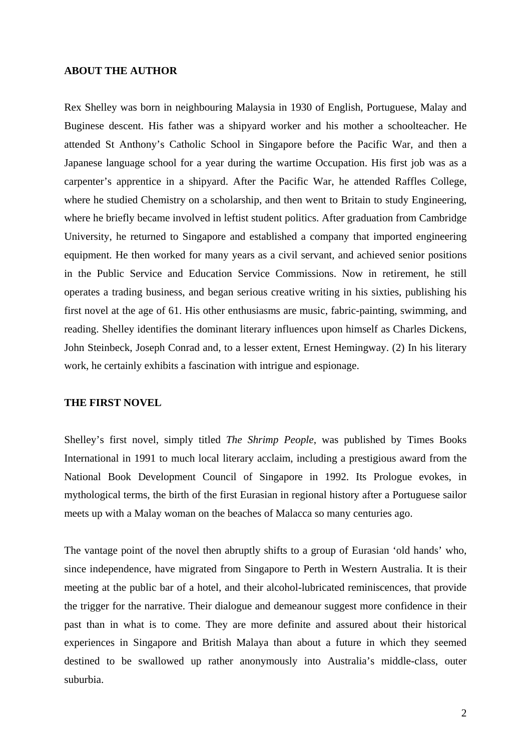### **ABOUT THE AUTHOR**

Rex Shelley was born in neighbouring Malaysia in 1930 of English, Portuguese, Malay and Buginese descent. His father was a shipyard worker and his mother a schoolteacher. He attended St Anthony's Catholic School in Singapore before the Pacific War, and then a Japanese language school for a year during the wartime Occupation. His first job was as a carpenter's apprentice in a shipyard. After the Pacific War, he attended Raffles College, where he studied Chemistry on a scholarship, and then went to Britain to study Engineering, where he briefly became involved in leftist student politics. After graduation from Cambridge University, he returned to Singapore and established a company that imported engineering equipment. He then worked for many years as a civil servant, and achieved senior positions in the Public Service and Education Service Commissions. Now in retirement, he still operates a trading business, and began serious creative writing in his sixties, publishing his first novel at the age of 61. His other enthusiasms are music, fabric-painting, swimming, and reading. Shelley identifies the dominant literary influences upon himself as Charles Dickens, John Steinbeck, Joseph Conrad and, to a lesser extent, Ernest Hemingway. (2) In his literary work, he certainly exhibits a fascination with intrigue and espionage.

#### **THE FIRST NOVEL**

Shelley's first novel, simply titled *The Shrimp People*, was published by Times Books International in 1991 to much local literary acclaim, including a prestigious award from the National Book Development Council of Singapore in 1992. Its Prologue evokes, in mythological terms, the birth of the first Eurasian in regional history after a Portuguese sailor meets up with a Malay woman on the beaches of Malacca so many centuries ago.

The vantage point of the novel then abruptly shifts to a group of Eurasian 'old hands' who, since independence, have migrated from Singapore to Perth in Western Australia. It is their meeting at the public bar of a hotel, and their alcohol-lubricated reminiscences, that provide the trigger for the narrative. Their dialogue and demeanour suggest more confidence in their past than in what is to come. They are more definite and assured about their historical experiences in Singapore and British Malaya than about a future in which they seemed destined to be swallowed up rather anonymously into Australia's middle-class, outer suburbia.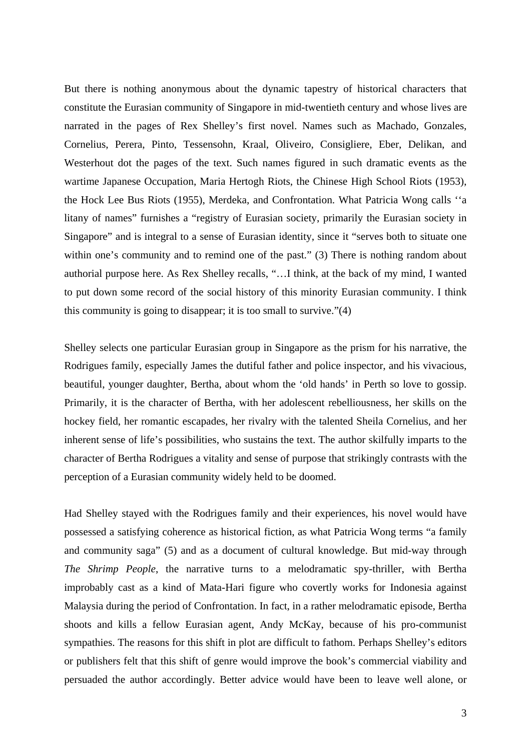But there is nothing anonymous about the dynamic tapestry of historical characters that constitute the Eurasian community of Singapore in mid-twentieth century and whose lives are narrated in the pages of Rex Shelley's first novel. Names such as Machado, Gonzales, Cornelius, Perera, Pinto, Tessensohn, Kraal, Oliveiro, Consigliere, Eber, Delikan, and Westerhout dot the pages of the text. Such names figured in such dramatic events as the wartime Japanese Occupation, Maria Hertogh Riots, the Chinese High School Riots (1953), the Hock Lee Bus Riots (1955), Merdeka, and Confrontation. What Patricia Wong calls ''a litany of names" furnishes a "registry of Eurasian society, primarily the Eurasian society in Singapore" and is integral to a sense of Eurasian identity, since it "serves both to situate one within one's community and to remind one of the past." (3) There is nothing random about authorial purpose here. As Rex Shelley recalls, "…I think, at the back of my mind, I wanted to put down some record of the social history of this minority Eurasian community. I think this community is going to disappear; it is too small to survive."(4)

Shelley selects one particular Eurasian group in Singapore as the prism for his narrative, the Rodrigues family, especially James the dutiful father and police inspector, and his vivacious, beautiful, younger daughter, Bertha, about whom the 'old hands' in Perth so love to gossip. Primarily, it is the character of Bertha, with her adolescent rebelliousness, her skills on the hockey field, her romantic escapades, her rivalry with the talented Sheila Cornelius, and her inherent sense of life's possibilities, who sustains the text. The author skilfully imparts to the character of Bertha Rodrigues a vitality and sense of purpose that strikingly contrasts with the perception of a Eurasian community widely held to be doomed.

Had Shelley stayed with the Rodrigues family and their experiences, his novel would have possessed a satisfying coherence as historical fiction, as what Patricia Wong terms "a family and community saga" (5) and as a document of cultural knowledge. But mid-way through *The Shrimp People*, the narrative turns to a melodramatic spy-thriller, with Bertha improbably cast as a kind of Mata-Hari figure who covertly works for Indonesia against Malaysia during the period of Confrontation. In fact, in a rather melodramatic episode, Bertha shoots and kills a fellow Eurasian agent, Andy McKay, because of his pro-communist sympathies. The reasons for this shift in plot are difficult to fathom. Perhaps Shelley's editors or publishers felt that this shift of genre would improve the book's commercial viability and persuaded the author accordingly. Better advice would have been to leave well alone, or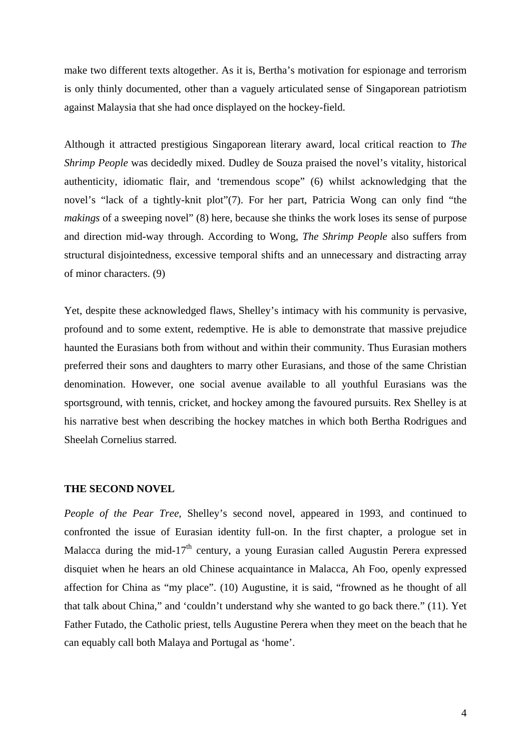make two different texts altogether. As it is, Bertha's motivation for espionage and terrorism is only thinly documented, other than a vaguely articulated sense of Singaporean patriotism against Malaysia that she had once displayed on the hockey-field.

Although it attracted prestigious Singaporean literary award, local critical reaction to *The Shrimp People* was decidedly mixed. Dudley de Souza praised the novel's vitality, historical authenticity, idiomatic flair, and 'tremendous scope" (6) whilst acknowledging that the novel's "lack of a tightly-knit plot"(7). For her part, Patricia Wong can only find "the *makings* of a sweeping novel" (8) here, because she thinks the work loses its sense of purpose and direction mid-way through. According to Wong, *The Shrimp People* also suffers from structural disjointedness, excessive temporal shifts and an unnecessary and distracting array of minor characters. (9)

Yet, despite these acknowledged flaws, Shelley's intimacy with his community is pervasive, profound and to some extent, redemptive. He is able to demonstrate that massive prejudice haunted the Eurasians both from without and within their community. Thus Eurasian mothers preferred their sons and daughters to marry other Eurasians, and those of the same Christian denomination. However, one social avenue available to all youthful Eurasians was the sportsground, with tennis, cricket, and hockey among the favoured pursuits. Rex Shelley is at his narrative best when describing the hockey matches in which both Bertha Rodrigues and Sheelah Cornelius starred.

#### **THE SECOND NOVEL**

*People of the Pear Tree*, Shelley's second novel, appeared in 1993, and continued to confronted the issue of Eurasian identity full-on. In the first chapter, a prologue set in Malacca during the mid-17<sup>th</sup> century, a young Eurasian called Augustin Perera expressed disquiet when he hears an old Chinese acquaintance in Malacca, Ah Foo, openly expressed affection for China as "my place". (10) Augustine, it is said, "frowned as he thought of all that talk about China," and 'couldn't understand why she wanted to go back there." (11). Yet Father Futado, the Catholic priest, tells Augustine Perera when they meet on the beach that he can equably call both Malaya and Portugal as 'home'.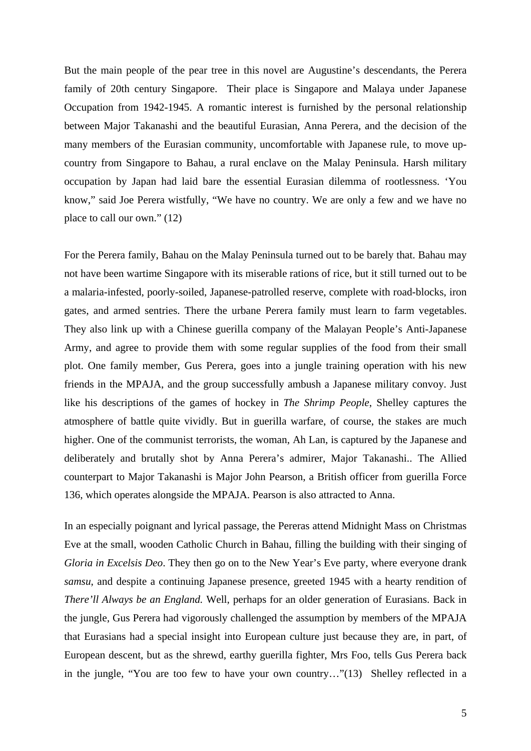But the main people of the pear tree in this novel are Augustine's descendants, the Perera family of 20th century Singapore. Their place is Singapore and Malaya under Japanese Occupation from 1942-1945. A romantic interest is furnished by the personal relationship between Major Takanashi and the beautiful Eurasian, Anna Perera, and the decision of the many members of the Eurasian community, uncomfortable with Japanese rule, to move upcountry from Singapore to Bahau, a rural enclave on the Malay Peninsula. Harsh military occupation by Japan had laid bare the essential Eurasian dilemma of rootlessness. 'You know," said Joe Perera wistfully, "We have no country. We are only a few and we have no place to call our own." (12)

For the Perera family, Bahau on the Malay Peninsula turned out to be barely that. Bahau may not have been wartime Singapore with its miserable rations of rice, but it still turned out to be a malaria-infested, poorly-soiled, Japanese-patrolled reserve, complete with road-blocks, iron gates, and armed sentries. There the urbane Perera family must learn to farm vegetables. They also link up with a Chinese guerilla company of the Malayan People's Anti-Japanese Army, and agree to provide them with some regular supplies of the food from their small plot. One family member, Gus Perera, goes into a jungle training operation with his new friends in the MPAJA, and the group successfully ambush a Japanese military convoy. Just like his descriptions of the games of hockey in *The Shrimp People*, Shelley captures the atmosphere of battle quite vividly. But in guerilla warfare, of course, the stakes are much higher. One of the communist terrorists, the woman, Ah Lan, is captured by the Japanese and deliberately and brutally shot by Anna Perera's admirer, Major Takanashi.. The Allied counterpart to Major Takanashi is Major John Pearson, a British officer from guerilla Force 136, which operates alongside the MPAJA. Pearson is also attracted to Anna.

In an especially poignant and lyrical passage, the Pereras attend Midnight Mass on Christmas Eve at the small, wooden Catholic Church in Bahau, filling the building with their singing of *Gloria in Excelsis Deo*. They then go on to the New Year's Eve party, where everyone drank *samsu*, and despite a continuing Japanese presence, greeted 1945 with a hearty rendition of *There'll Always be an England.* Well, perhaps for an older generation of Eurasians. Back in the jungle, Gus Perera had vigorously challenged the assumption by members of the MPAJA that Eurasians had a special insight into European culture just because they are, in part, of European descent, but as the shrewd, earthy guerilla fighter, Mrs Foo, tells Gus Perera back in the jungle, "You are too few to have your own country…"(13) Shelley reflected in a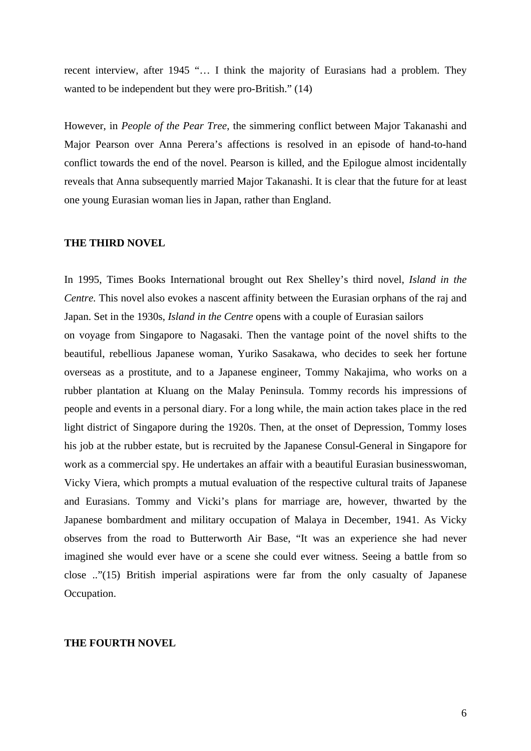recent interview, after 1945 "… I think the majority of Eurasians had a problem. They wanted to be independent but they were pro-British." (14)

However, in *People of the Pear Tree*, the simmering conflict between Major Takanashi and Major Pearson over Anna Perera's affections is resolved in an episode of hand-to-hand conflict towards the end of the novel. Pearson is killed, and the Epilogue almost incidentally reveals that Anna subsequently married Major Takanashi. It is clear that the future for at least one young Eurasian woman lies in Japan, rather than England.

#### **THE THIRD NOVEL**

In 1995, Times Books International brought out Rex Shelley's third novel, *Island in the Centre.* This novel also evokes a nascent affinity between the Eurasian orphans of the raj and Japan. Set in the 1930s, *Island in the Centre* opens with a couple of Eurasian sailors

on voyage from Singapore to Nagasaki. Then the vantage point of the novel shifts to the beautiful, rebellious Japanese woman, Yuriko Sasakawa, who decides to seek her fortune overseas as a prostitute, and to a Japanese engineer, Tommy Nakajima, who works on a rubber plantation at Kluang on the Malay Peninsula. Tommy records his impressions of people and events in a personal diary. For a long while, the main action takes place in the red light district of Singapore during the 1920s. Then, at the onset of Depression, Tommy loses his job at the rubber estate, but is recruited by the Japanese Consul-General in Singapore for work as a commercial spy. He undertakes an affair with a beautiful Eurasian businesswoman, Vicky Viera, which prompts a mutual evaluation of the respective cultural traits of Japanese and Eurasians. Tommy and Vicki's plans for marriage are, however, thwarted by the Japanese bombardment and military occupation of Malaya in December, 1941. As Vicky observes from the road to Butterworth Air Base, "It was an experience she had never imagined she would ever have or a scene she could ever witness. Seeing a battle from so close .."(15) British imperial aspirations were far from the only casualty of Japanese Occupation.

#### **THE FOURTH NOVEL**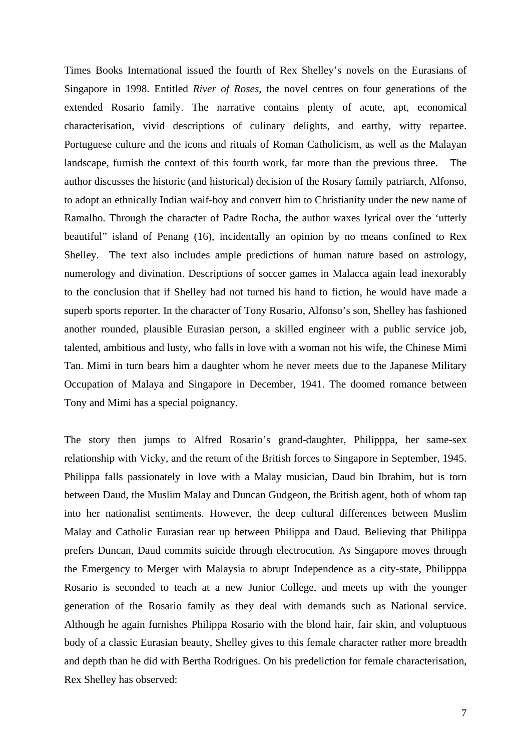Times Books International issued the fourth of Rex Shelley's novels on the Eurasians of Singapore in 1998. Entitled *River of Roses*, the novel centres on four generations of the extended Rosario family. The narrative contains plenty of acute, apt, economical characterisation, vivid descriptions of culinary delights, and earthy, witty repartee. Portuguese culture and the icons and rituals of Roman Catholicism, as well as the Malayan landscape, furnish the context of this fourth work, far more than the previous three. The author discusses the historic (and historical) decision of the Rosary family patriarch, Alfonso, to adopt an ethnically Indian waif-boy and convert him to Christianity under the new name of Ramalho. Through the character of Padre Rocha, the author waxes lyrical over the 'utterly beautiful" island of Penang (16), incidentally an opinion by no means confined to Rex Shelley. The text also includes ample predictions of human nature based on astrology, numerology and divination. Descriptions of soccer games in Malacca again lead inexorably to the conclusion that if Shelley had not turned his hand to fiction, he would have made a superb sports reporter. In the character of Tony Rosario, Alfonso's son, Shelley has fashioned another rounded, plausible Eurasian person, a skilled engineer with a public service job, talented, ambitious and lusty, who falls in love with a woman not his wife, the Chinese Mimi Tan. Mimi in turn bears him a daughter whom he never meets due to the Japanese Military Occupation of Malaya and Singapore in December, 1941. The doomed romance between Tony and Mimi has a special poignancy.

The story then jumps to Alfred Rosario's grand-daughter, Philipppa, her same-sex relationship with Vicky, and the return of the British forces to Singapore in September, 1945. Philippa falls passionately in love with a Malay musician, Daud bin Ibrahim, but is torn between Daud, the Muslim Malay and Duncan Gudgeon, the British agent, both of whom tap into her nationalist sentiments. However, the deep cultural differences between Muslim Malay and Catholic Eurasian rear up between Philippa and Daud. Believing that Philippa prefers Duncan, Daud commits suicide through electrocution. As Singapore moves through the Emergency to Merger with Malaysia to abrupt Independence as a city-state, Philipppa Rosario is seconded to teach at a new Junior College, and meets up with the younger generation of the Rosario family as they deal with demands such as National service. Although he again furnishes Philippa Rosario with the blond hair, fair skin, and voluptuous body of a classic Eurasian beauty, Shelley gives to this female character rather more breadth and depth than he did with Bertha Rodrigues. On his predeliction for female characterisation, Rex Shelley has observed: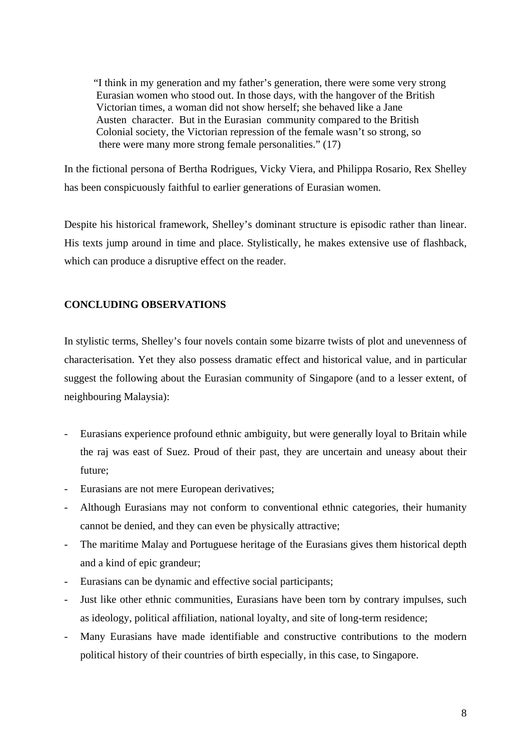"I think in my generation and my father's generation, there were some very strong Eurasian women who stood out. In those days, with the hangover of the British Victorian times, a woman did not show herself; she behaved like a Jane Austen character. But in the Eurasian community compared to the British Colonial society, the Victorian repression of the female wasn't so strong, so there were many more strong female personalities." (17)

In the fictional persona of Bertha Rodrigues, Vicky Viera, and Philippa Rosario, Rex Shelley has been conspicuously faithful to earlier generations of Eurasian women.

Despite his historical framework, Shelley's dominant structure is episodic rather than linear. His texts jump around in time and place. Stylistically, he makes extensive use of flashback, which can produce a disruptive effect on the reader.

# **CONCLUDING OBSERVATIONS**

In stylistic terms, Shelley's four novels contain some bizarre twists of plot and unevenness of characterisation. Yet they also possess dramatic effect and historical value, and in particular suggest the following about the Eurasian community of Singapore (and to a lesser extent, of neighbouring Malaysia):

- Eurasians experience profound ethnic ambiguity, but were generally loyal to Britain while the raj was east of Suez. Proud of their past, they are uncertain and uneasy about their future;
- Eurasians are not mere European derivatives;
- Although Eurasians may not conform to conventional ethnic categories, their humanity cannot be denied, and they can even be physically attractive;
- The maritime Malay and Portuguese heritage of the Eurasians gives them historical depth and a kind of epic grandeur;
- Eurasians can be dynamic and effective social participants;
- Just like other ethnic communities, Eurasians have been torn by contrary impulses, such as ideology, political affiliation, national loyalty, and site of long-term residence;
- Many Eurasians have made identifiable and constructive contributions to the modern political history of their countries of birth especially, in this case, to Singapore.